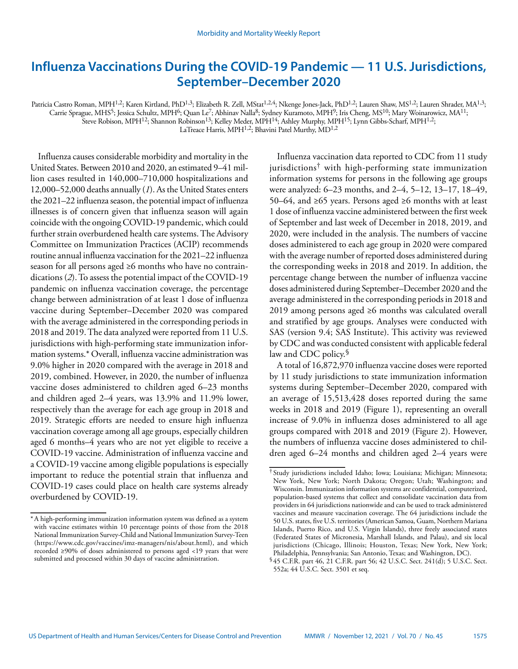# **Influenza Vaccinations During the COVID-19 Pandemic — 11 U.S. Jurisdictions, September–December 2020**

Patricia Castro Roman, MPH<sup>1,2</sup>; Karen Kirtland, PhD<sup>1,3</sup>; Elizabeth R. Zell, MStat<sup>1,2,4</sup>; Nkenge Jones-Jack, PhD<sup>1,2</sup>; Lauren Shaw, MS<sup>1,2</sup>; Lauren Shrader, MA<sup>1,3</sup>; Carrie Sprague, MHS<sup>5</sup>; Jessica Schultz, MPH<sup>6</sup>; Quan Le<sup>7</sup>; Abhinav Nalla<sup>8</sup>; Sydney Kuramoto, MPH<sup>9</sup>; Iris Cheng, MS<sup>10</sup>; Mary Woinarowicz, MA<sup>11</sup>; Steve Robison, MPH<sup>12</sup>; Shannon Robinson<sup>13</sup>; Kelley Meder, MPH<sup>14</sup>; Ashley Murphy, MPH<sup>15</sup>; Lynn Gibbs-Scharf, MPH<sup>1,2</sup>;

LaTreace Harris, MPH<sup>1,2</sup>; Bhavini Patel Murthy, MD<sup>1,2</sup>

Influenza causes considerable morbidity and mortality in the United States. Between 2010 and 2020, an estimated 9–41 million cases resulted in 140,000–710,000 hospitalizations and 12,000–52,000 deaths annually (*1*). As the United States enters the 2021–22 influenza season, the potential impact of influenza illnesses is of concern given that influenza season will again coincide with the ongoing COVID-19 pandemic, which could further strain overburdened health care systems. The Advisory Committee on Immunization Practices (ACIP) recommends routine annual influenza vaccination for the 2021–22 influenza season for all persons aged ≥6 months who have no contraindications (*2*). To assess the potential impact of the COVID-19 pandemic on influenza vaccination coverage, the percentage change between administration of at least 1 dose of influenza vaccine during September–December 2020 was compared with the average administered in the corresponding periods in 2018 and 2019. The data analyzed were reported from 11 U.S. jurisdictions with high-performing state immunization information systems.\* Overall, influenza vaccine administration was 9.0% higher in 2020 compared with the average in 2018 and 2019, combined. However, in 2020, the number of influenza vaccine doses administered to children aged 6–23 months and children aged 2–4 years, was 13.9% and 11.9% lower, respectively than the average for each age group in 2018 and 2019. Strategic efforts are needed to ensure high influenza vaccination coverage among all age groups, especially children aged 6 months–4 years who are not yet eligible to receive a COVID-19 vaccine. Administration of influenza vaccine and a COVID-19 vaccine among eligible populations is especially important to reduce the potential strain that influenza and COVID-19 cases could place on health care systems already overburdened by COVID-19. \*A high-performing immunization information system was defined as a system

Influenza vaccination data reported to CDC from 11 study jurisdictions† with high-performing state immunization information systems for persons in the following age groups were analyzed: 6–23 months, and 2–4, 5–12, 13–17, 18–49, 50–64, and ≥65 years. Persons aged ≥6 months with at least 1 dose of influenza vaccine administered between the first week of September and last week of December in 2018, 2019, and 2020, were included in the analysis. The numbers of vaccine doses administered to each age group in 2020 were compared with the average number of reported doses administered during the corresponding weeks in 2018 and 2019. In addition, the percentage change between the number of influenza vaccine doses administered during September–December 2020 and the average administered in the corresponding periods in 2018 and 2019 among persons aged ≥6 months was calculated overall and stratified by age groups. Analyses were conducted with SAS (version 9.4; SAS Institute). This activity was reviewed by CDC and was conducted consistent with applicable federal law and CDC policy.<sup>§</sup>

A total of 16,872,970 influenza vaccine doses were reported by 11 study jurisdictions to state immunization information systems during September–December 2020, compared with an average of 15,513,428 doses reported during the same weeks in 2018 and 2019 (Figure 1), representing an overall increase of 9.0% in influenza doses administered to all age groups compared with 2018 and 2019 (Figure 2). However, the numbers of influenza vaccine doses administered to children aged 6–24 months and children aged 2–4 years were

with vaccine estimates within 10 percentage points of those from the 2018 National Immunization Survey-Child and National Immunization Survey-Teen [\(https://www.cdc.gov/vaccines/imz-managers/nis/about.html](https://www.cdc.gov/vaccines/imz-managers/nis/about.html)), and which recorded ≥90% of doses administered to persons aged <19 years that were submitted and processed within 30 days of vaccine administration.

<sup>†</sup> Study jurisdictions included Idaho; Iowa; Louisiana; Michigan; Minnesota; New York, New York; North Dakota; Oregon; Utah; Washington; and Wisconsin. Immunization information systems are confidential, computerized, population-based systems that collect and consolidate vaccination data from providers in 64 jurisdictions nationwide and can be used to track administered vaccines and measure vaccination coverage. The 64 jurisdictions include the 50 U.S. states, five U.S. territories (American Samoa, Guam, Northern Mariana Islands, Puerto Rico, and U.S. Virgin Islands), three freely associated states (Federated States of Micronesia, Marshall Islands, and Palau), and six local jurisdictions (Chicago, Illinois; Houston, Texas; New York, New York; Philadelphia, Pennsylvania; San Antonio, Texas; and Washington, DC).

<sup>§</sup> 45 C.F.R. part 46, 21 C.F.R. part 56; 42 U.S.C. Sect. 241(d); 5 U.S.C. Sect. 552a; 44 U.S.C. Sect. 3501 et seq.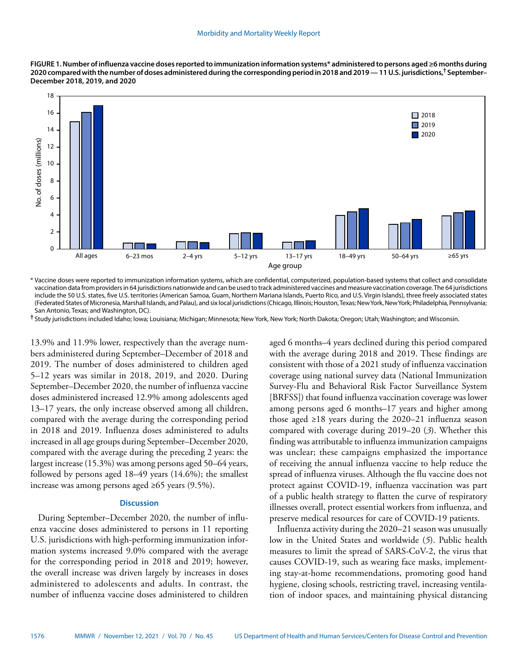**FIGURE 1. Number of influenza vaccine doses reported to immunization information systems\* administered to persons aged ≥6 months during 2020 compared with the number of doses administered during the corresponding period in 2018 and 2019 — 11 U.S. jurisdictions,† September– December 2018, 2019, and 2020**



\* Vaccine doses were reported to immunization information systems, which are confidential, computerized, population-based systems that collect and consolidate vaccination data from providers in 64 jurisdictions nationwide and can be used to track administered vaccines and measure vaccination coverage. The 64 jurisdictions include the 50 U.S. states, five U.S. territories (American Samoa, Guam, Northern Mariana Islands, Puerto Rico, and U.S. Virgin Islands), three freely associated states (Federated States of Micronesia, Marshall Islands, and Palau), and six local jurisdictions (Chicago, Illinois; Houston, Texas; New York, New York; Philadelphia, Pennsylvania; San Antonio, Texas; and Washington, DC).

**†** Study jurisdictions included Idaho; Iowa; Louisiana; Michigan; Minnesota; New York, New York; North Dakota; Oregon; Utah; Washington; and Wisconsin.

13.9% and 11.9% lower, respectively than the average numbers administered during September–December of 2018 and 2019. The number of doses administered to children aged 5–12 years was similar in 2018, 2019, and 2020. During September–December 2020, the number of influenza vaccine doses administered increased 12.9% among adolescents aged 13–17 years, the only increase observed among all children, compared with the average during the corresponding period in 2018 and 2019. Influenza doses administered to adults increased in all age groups during September–December 2020, compared with the average during the preceding 2 years: the largest increase (15.3%) was among persons aged 50–64 years, followed by persons aged 18–49 years (14.6%); the smallest increase was among persons aged ≥65 years (9.5%).

## **Discussion**

During September–December 2020, the number of influenza vaccine doses administered to persons in 11 reporting U.S. jurisdictions with high-performing immunization information systems increased 9.0% compared with the average for the corresponding period in 2018 and 2019; however, the overall increase was driven largely by increases in doses administered to adolescents and adults. In contrast, the number of influenza vaccine doses administered to children aged 6 months–4 years declined during this period compared with the average during 2018 and 2019. These findings are consistent with those of a 2021 study of influenza vaccination coverage using national survey data (National Immunization Survey-Flu and Behavioral Risk Factor Surveillance System [BRFSS]) that found influenza vaccination coverage was lower among persons aged 6 months–17 years and higher among those aged ≥18 years during the 2020–21 influenza season compared with coverage during 2019–20 (*3*). Whether this finding was attributable to influenza immunization campaigns was unclear; these campaigns emphasized the importance of receiving the annual influenza vaccine to help reduce the spread of influenza viruses. Although the flu vaccine does not protect against COVID-19, influenza vaccination was part of a public health strategy to flatten the curve of respiratory illnesses overall, protect essential workers from influenza, and preserve medical resources for care of COVID-19 patients.

Influenza activity during the 2020–21 season was unusually low in the United States and worldwide (*5*). Public health measures to limit the spread of SARS-CoV-2, the virus that causes COVID-19, such as wearing face masks, implementing stay-at-home recommendations, promoting good hand hygiene, closing schools, restricting travel, increasing ventilation of indoor spaces, and maintaining physical distancing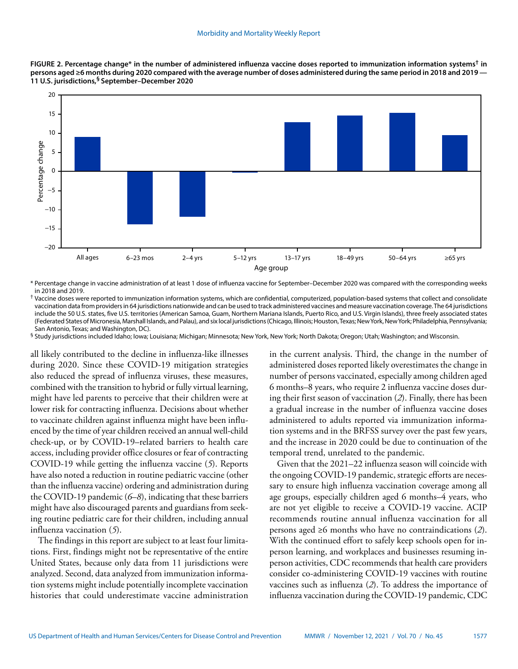

**FIGURE 2. Percentage change\* in the number of administered influenza vaccine doses reported to immunization information systems† in**  persons aged ≥6 months during 2020 compared with the average number of doses administered during the same period in 2018 and 2019 — **11 U.S. jurisdictions,§ September–December 2020**

\* Percentage change in vaccine administration of at least 1 dose of influenza vaccine for September–December 2020 was compared with the corresponding weeks in 2018 and 2019.

† Vaccine doses were reported to immunization information systems, which are confidential, computerized, population-based systems that collect and consolidate vaccination data from providers in 64 jurisdictions nationwide and can be used to track administered vaccines and measure vaccination coverage. The 64 jurisdictions include the 50 U.S. states, five U.S. territories (American Samoa, Guam, Northern Mariana Islands, Puerto Rico, and U.S. Virgin Islands), three freely associated states (Federated States of Micronesia, Marshall Islands, and Palau), and six local jurisdictions (Chicago, Illinois; Houston, Texas; New York, New York; Philadelphia, Pennsylvania; San Antonio, Texas; and Washington, DC).

§ Study jurisdictions included Idaho; Iowa; Louisiana; Michigan; Minnesota; New York, New York; North Dakota; Oregon; Utah; Washington; and Wisconsin.

all likely contributed to the decline in influenza-like illnesses during 2020. Since these COVID-19 mitigation strategies also reduced the spread of influenza viruses, these measures, combined with the transition to hybrid or fully virtual learning, might have led parents to perceive that their children were at lower risk for contracting influenza. Decisions about whether to vaccinate children against influenza might have been influenced by the time of year children received an annual well-child check-up, or by COVID-19–related barriers to health care access, including provider office closures or fear of contracting COVID-19 while getting the influenza vaccine (*5*). Reports have also noted a reduction in routine pediatric vaccine (other than the influenza vaccine) ordering and administration during the COVID-19 pandemic (*6*–*8*), indicating that these barriers might have also discouraged parents and guardians from seeking routine pediatric care for their children, including annual influenza vaccination (*5*).

The findings in this report are subject to at least four limitations. First, findings might not be representative of the entire United States, because only data from 11 jurisdictions were analyzed. Second, data analyzed from immunization information systems might include potentially incomplete vaccination histories that could underestimate vaccine administration in the current analysis. Third, the change in the number of administered doses reported likely overestimates the change in number of persons vaccinated, especially among children aged 6 months–8 years, who require 2 influenza vaccine doses during their first season of vaccination (*2*). Finally, there has been a gradual increase in the number of influenza vaccine doses administered to adults reported via immunization information systems and in the BRFSS survey over the past few years, and the increase in 2020 could be due to continuation of the temporal trend, unrelated to the pandemic.

Given that the 2021–22 influenza season will coincide with the ongoing COVID-19 pandemic, strategic efforts are necessary to ensure high influenza vaccination coverage among all age groups, especially children aged 6 months–4 years, who are not yet eligible to receive a COVID-19 vaccine. ACIP recommends routine annual influenza vaccination for all persons aged ≥6 months who have no contraindications (*2*). With the continued effort to safely keep schools open for inperson learning, and workplaces and businesses resuming inperson activities, CDC recommends that health care providers consider co-administering COVID-19 vaccines with routine vaccines such as influenza (*2*). To address the importance of influenza vaccination during the COVID-19 pandemic, CDC